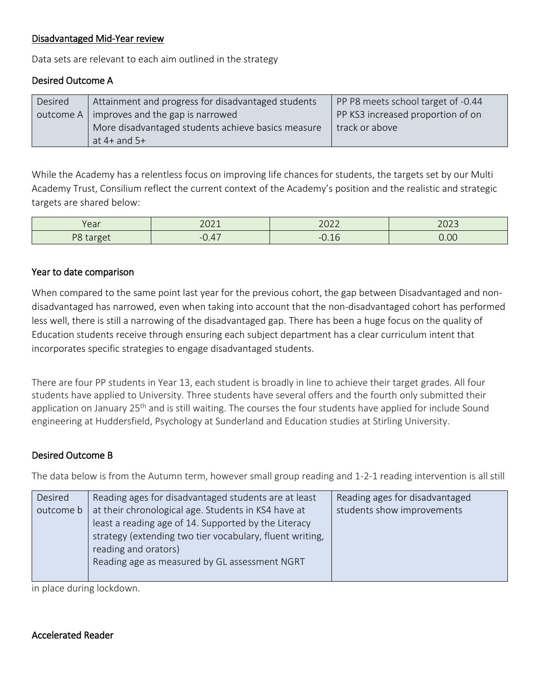#### Disadvantaged Mid-Year review

Data sets are relevant to each aim outlined in the strategy

## Desired Outcome A

| Desired | Attainment and progress for disadvantaged students | PP P8 meets school target of -0.44 |
|---------|----------------------------------------------------|------------------------------------|
|         | outcome A   improves and the gap is narrowed       | PP KS3 increased proportion of on  |
|         | More disadvantaged students achieve basics measure | track or above                     |
|         | at $4+$ and $5+$                                   |                                    |

While the Academy has a relentless focus on improving life chances for students, the targets set by our Multi Academy Trust, Consilium reflect the current context of the Academy's position and the realistic and strategic targets are shared below:

| $V \cap \cap r$                         | 2011                           | วกวว                   | $\cap$ |
|-----------------------------------------|--------------------------------|------------------------|--------|
| <b>cal</b>                              | <b>LULI</b>                    | LULL                   | ムマムー   |
| DQ<br>$r$ <sup>1</sup><br>$\sim$ $\sim$ | --<br>$\overline{\phantom{a}}$ | $\overline{a}$<br>---- | 0.00   |

#### Year to date comparison

When compared to the same point last year for the previous cohort, the gap between Disadvantaged and nondisadvantaged has narrowed, even when taking into account that the non-disadvantaged cohort has performed less well, there is still a narrowing of the disadvantaged gap. There has been a huge focus on the quality of Education students receive through ensuring each subject department has a clear curriculum intent that incorporates specific strategies to engage disadvantaged students.

There are four PP students in Year 13, each student is broadly in line to achieve their target grades. All four students have applied to University. Three students have several offers and the fourth only submitted their application on January 25<sup>th</sup> and is still waiting. The courses the four students have applied for include Sound engineering at Huddersfield, Psychology at Sunderland and Education studies at Stirling University.

#### Desired Outcome B

The data below is from the Autumn term, however small group reading and 1-2-1 reading intervention is all still

| Desired   | Reading ages for disadvantaged students are at least     | Reading ages for disadvantaged |
|-----------|----------------------------------------------------------|--------------------------------|
| outcome b | at their chronological age. Students in KS4 have at      | students show improvements     |
|           | least a reading age of 14. Supported by the Literacy     |                                |
|           | strategy (extending two tier vocabulary, fluent writing, |                                |
|           | reading and orators)                                     |                                |
|           | Reading age as measured by GL assessment NGRT            |                                |
|           |                                                          |                                |

in place during lockdown.

#### Accelerated Reader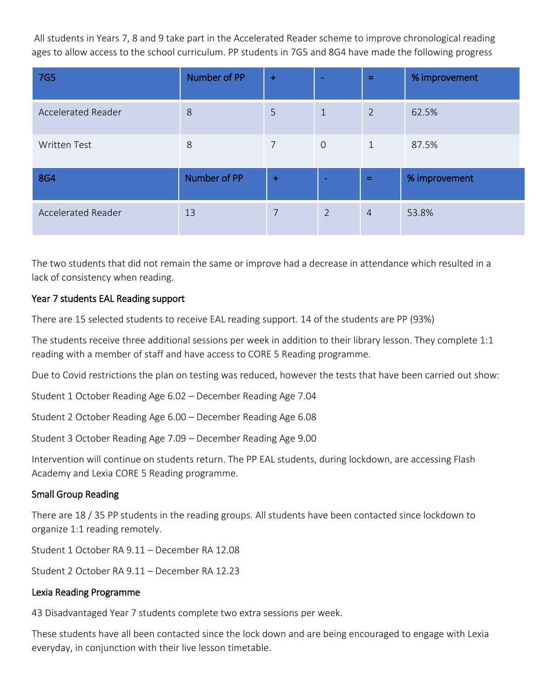All students in Years 7, 8 and 9 take part in the Accelerated Reader scheme to improve chronological reading ages to allow access to the school curriculum. PP students in 7G5 and 8G4 have made the following progress

| <b>7G5</b>                | Number of PP | $+$            | $\overline{\phantom{a}}$ | $=$            | % improvement |
|---------------------------|--------------|----------------|--------------------------|----------------|---------------|
| <b>Accelerated Reader</b> | 8            | 5              | $\mathbf{1}$             | $\overline{2}$ | 62.5%         |
| <b>Written Test</b>       | 8            | $\overline{7}$ | $\overline{O}$           | $\mathbf{1}$   | 87.5%         |
| <b>8G4</b>                | Number of PP | $\ddot{}$      |                          | $=$            | % improvement |
| <b>Accelerated Reader</b> | 13           | 7              | $\overline{2}$           | $\overline{4}$ | 53.8%         |

The two students that did not remain the same or improve had a decrease in attendance which resulted in a lack of consistency when reading.

#### Year 7 students EAL Reading support

There are 15 selected students to receive EAL reading support. 14 of the students are PP (93%)

The students receive three additional sessions per week in addition to their library lesson. They complete 1:1 reading with a member of staff and have access to CORE 5 Reading programme.

Due to Covid restrictions the plan on testing was reduced, however the tests that have been carried out show:

Student 1 October Reading Age 6.02 – December Reading Age 7.04

Student 2 October Reading Age 6.00 – December Reading Age 6.08

Student 3 October Reading Age 7.09 – December Reading Age 9.00

Intervention will continue on students return. The PP EAL students, during lockdown, are accessing Flash Academy and Lexia CORE 5 Reading programme.

#### Small Group Reading

There are 18 / 35 PP students in the reading groups. All students have been contacted since lockdown to organize 1:1 reading remotely.

Student 1 October RA 9.11 – December RA 12.08

Student 2 October RA 9.11 – December RA 12.23

#### Lexia Reading Programme

43 Disadvantaged Year 7 students complete two extra sessions per week.

These students have all been contacted since the lock down and are being encouraged to engage with Lexia everyday, in conjunction with their live lesson timetable.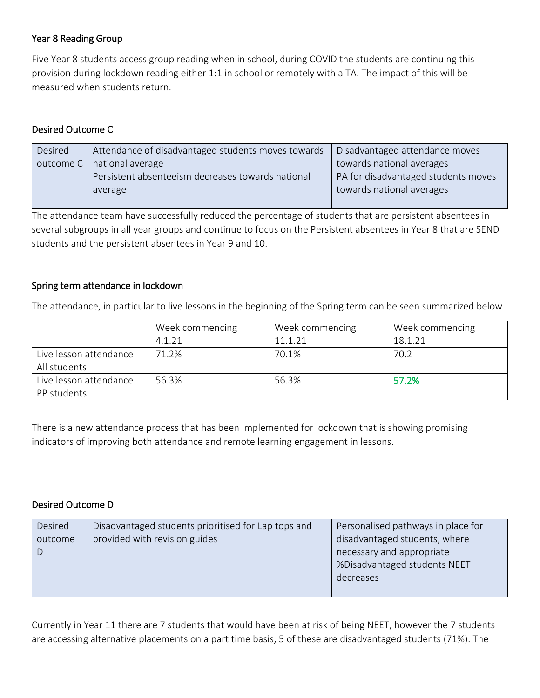## Year 8 Reading Group

Five Year 8 students access group reading when in school, during COVID the students are continuing this provision during lockdown reading either 1:1 in school or remotely with a TA. The impact of this will be measured when students return.

# Desired Outcome C

| Desired | Attendance of disadvantaged students moves towards | Disadvantaged attendance moves      |
|---------|----------------------------------------------------|-------------------------------------|
|         | outcome C   national average                       | towards national averages           |
|         | Persistent absenteeism decreases towards national  | PA for disadvantaged students moves |
|         | average                                            | towards national averages           |
|         |                                                    |                                     |

The attendance team have successfully reduced the percentage of students that are persistent absentees in several subgroups in all year groups and continue to focus on the Persistent absentees in Year 8 that are SEND students and the persistent absentees in Year 9 and 10.

## Spring term attendance in lockdown

The attendance, in particular to live lessons in the beginning of the Spring term can be seen summarized below

|                        | Week commencing | Week commencing | Week commencing |
|------------------------|-----------------|-----------------|-----------------|
|                        | 4.1.21          | 11.1.21         | 18.1.21         |
| Live lesson attendance | 71.2%           | 70.1%           | 70.2            |
| All students           |                 |                 |                 |
| Live lesson attendance | 56.3%           | 56.3%           | 57.2%           |
| PP students            |                 |                 |                 |

There is a new attendance process that has been implemented for lockdown that is showing promising indicators of improving both attendance and remote learning engagement in lessons.

#### Desired Outcome D

| Desired | Disadvantaged students prioritised for Lap tops and | Personalised pathways in place for                         |
|---------|-----------------------------------------------------|------------------------------------------------------------|
| outcome | provided with revision guides                       | disadvantaged students, where<br>necessary and appropriate |
|         |                                                     | %Disadvantaged students NEET<br>decreases                  |
|         |                                                     |                                                            |

Currently in Year 11 there are 7 students that would have been at risk of being NEET, however the 7 students are accessing alternative placements on a part time basis, 5 of these are disadvantaged students (71%). The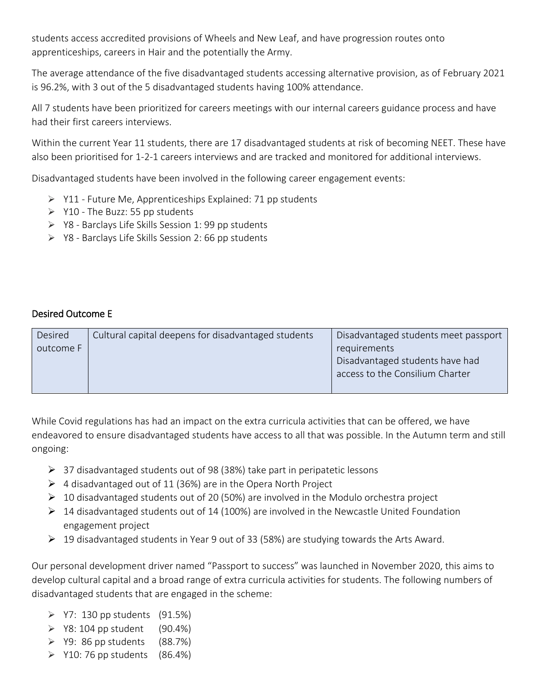students access accredited provisions of Wheels and New Leaf, and have progression routes onto apprenticeships, careers in Hair and the potentially the Army.

The average attendance of the five disadvantaged students accessing alternative provision, as of February 2021 is 96.2%, with 3 out of the 5 disadvantaged students having 100% attendance.

All 7 students have been prioritized for careers meetings with our internal careers guidance process and have had their first careers interviews.

Within the current Year 11 students, there are 17 disadvantaged students at risk of becoming NEET. These have also been prioritised for 1-2-1 careers interviews and are tracked and monitored for additional interviews.

Disadvantaged students have been involved in the following career engagement events:

- ➢ Y11 Future Me, Apprenticeships Explained: 71 pp students
- $\triangleright$  Y10 The Buzz: 55 pp students
- ➢ Y8 Barclays Life Skills Session 1: 99 pp students
- ➢ Y8 Barclays Life Skills Session 2: 66 pp students

#### Desired Outcome E

| Desired   | Cultural capital deepens for disadvantaged students | Disadvantaged students meet passport |
|-----------|-----------------------------------------------------|--------------------------------------|
| outcome F |                                                     | requirements                         |
|           |                                                     | Disadvantaged students have had      |
|           |                                                     | access to the Consilium Charter      |
|           |                                                     |                                      |

While Covid regulations has had an impact on the extra curricula activities that can be offered, we have endeavored to ensure disadvantaged students have access to all that was possible. In the Autumn term and still ongoing:

- ➢ 37 disadvantaged students out of 98 (38%) take part in peripatetic lessons
- $\triangleright$  4 disadvantaged out of 11 (36%) are in the Opera North Project
- $\triangleright$  10 disadvantaged students out of 20 (50%) are involved in the Modulo orchestra project
- $\triangleright$  14 disadvantaged students out of 14 (100%) are involved in the Newcastle United Foundation engagement project
- $\triangleright$  19 disadvantaged students in Year 9 out of 33 (58%) are studying towards the Arts Award.

Our personal development driver named "Passport to success" was launched in November 2020, this aims to develop cultural capital and a broad range of extra curricula activities for students. The following numbers of disadvantaged students that are engaged in the scheme:

- $\triangleright$  Y7: 130 pp students (91.5%)
- $\triangleright$  Y8: 104 pp student (90.4%)
- $\geq$  Y9: 86 pp students (88.7%)
- $\geq$  Y10: 76 pp students (86.4%)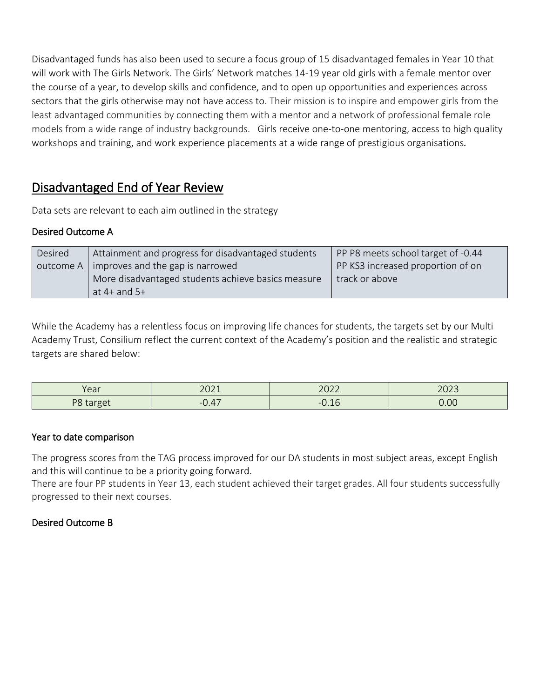Disadvantaged funds has also been used to secure a focus group of 15 disadvantaged females in Year 10 that will work with The Girls Network. The Girls' Network matches 14-19 year old girls with a female mentor over the course of a year, to develop skills and confidence, and to open up opportunities and experiences across sectors that the girls otherwise may not have access to. Their mission is to inspire and empower girls from the least advantaged communities by connecting them with a mentor and a network of professional female role models from a wide range of industry backgrounds. Girls receive one-to-one mentoring, access to high quality workshops and training, and work experience placements at a wide range of prestigious organisations*.*

# Disadvantaged End of Year Review

Data sets are relevant to each aim outlined in the strategy

## Desired Outcome A

| Desired | Attainment and progress for disadvantaged students | PP P8 meets school target of -0.44 |
|---------|----------------------------------------------------|------------------------------------|
|         | outcome $A \mid$ improves and the gap is narrowed  | PP KS3 increased proportion of on  |
|         | More disadvantaged students achieve basics measure | track or above                     |
|         | at 4+ and $5+$                                     |                                    |

While the Academy has a relentless focus on improving life chances for students, the targets set by our Multi Academy Trust, Consilium reflect the current context of the Academy's position and the realistic and strategic targets are shared below:

| Voor                                 | 2011        | 2022                         | 2022           |
|--------------------------------------|-------------|------------------------------|----------------|
| ı caı                                | <b>LULI</b> |                              | ムロムコ           |
| $DO +$<br>5.07<br>ပ<br>$\sim$ cargue | 0.47<br>--  | $\sim$ 1 $\sim$<br>-<br>◡.⊥◡ | 0.00<br>$\sim$ |

#### Year to date comparison

The progress scores from the TAG process improved for our DA students in most subject areas, except English and this will continue to be a priority going forward.

There are four PP students in Year 13, each student achieved their target grades. All four students successfully progressed to their next courses.

## Desired Outcome B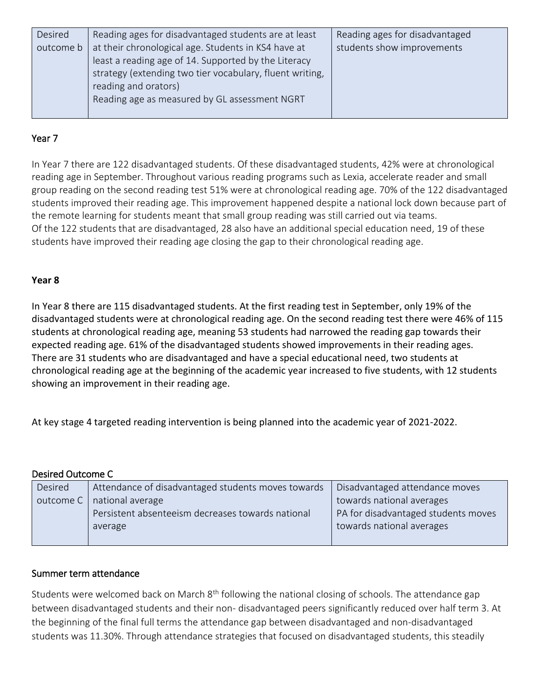| Desired   | Reading ages for disadvantaged students are at least                                                                                                                    | Reading ages for disadvantaged |
|-----------|-------------------------------------------------------------------------------------------------------------------------------------------------------------------------|--------------------------------|
| outcome b | at their chronological age. Students in KS4 have at<br>least a reading age of 14. Supported by the Literacy<br>strategy (extending two tier vocabulary, fluent writing, | students show improvements     |
|           | reading and orators)<br>Reading age as measured by GL assessment NGRT                                                                                                   |                                |

## Year 7

In Year 7 there are 122 disadvantaged students. Of these disadvantaged students, 42% were at chronological reading age in September. Throughout various reading programs such as Lexia, accelerate reader and small group reading on the second reading test 51% were at chronological reading age. 70% of the 122 disadvantaged students improved their reading age. This improvement happened despite a national lock down because part of the remote learning for students meant that small group reading was still carried out via teams. Of the 122 students that are disadvantaged, 28 also have an additional special education need, 19 of these students have improved their reading age closing the gap to their chronological reading age.

#### **Year 8**

In Year 8 there are 115 disadvantaged students. At the first reading test in September, only 19% of the disadvantaged students were at chronological reading age. On the second reading test there were 46% of 115 students at chronological reading age, meaning 53 students had narrowed the reading gap towards their expected reading age. 61% of the disadvantaged students showed improvements in their reading ages. There are 31 students who are disadvantaged and have a special educational need, two students at chronological reading age at the beginning of the academic year increased to five students, with 12 students showing an improvement in their reading age.

At key stage 4 targeted reading intervention is being planned into the academic year of 2021-2022.

| Desired Outcome C |                                                    |                                     |  |
|-------------------|----------------------------------------------------|-------------------------------------|--|
| Desired           | Attendance of disadvantaged students moves towards | Disadvantaged attendance moves      |  |
| outcome C         | national average                                   | towards national averages           |  |
|                   | Persistent absenteeism decreases towards national  | PA for disadvantaged students moves |  |
|                   | average                                            | towards national averages           |  |
|                   |                                                    |                                     |  |

#### Summer term attendance

Desired Outcome C

Students were welcomed back on March 8<sup>th</sup> following the national closing of schools. The attendance gap between disadvantaged students and their non- disadvantaged peers significantly reduced over half term 3. At the beginning of the final full terms the attendance gap between disadvantaged and non-disadvantaged students was 11.30%. Through attendance strategies that focused on disadvantaged students, this steadily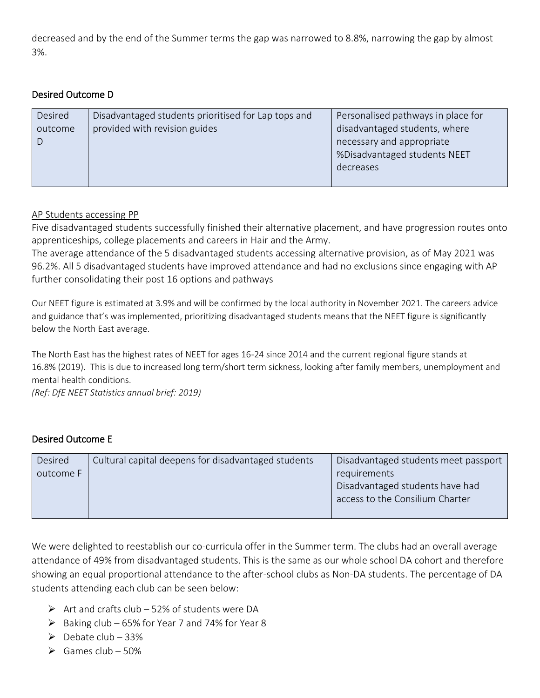decreased and by the end of the Summer terms the gap was narrowed to 8.8%, narrowing the gap by almost 3%.

#### Desired Outcome D

| Desired | Disadvantaged students prioritised for Lap tops and | Personalised pathways in place for |
|---------|-----------------------------------------------------|------------------------------------|
| outcome | provided with revision guides                       | disadvantaged students, where      |
|         |                                                     | necessary and appropriate          |
|         |                                                     | %Disadvantaged students NEET       |
|         |                                                     | decreases                          |
|         |                                                     |                                    |

#### AP Students accessing PP

Five disadvantaged students successfully finished their alternative placement, and have progression routes onto apprenticeships, college placements and careers in Hair and the Army.

The average attendance of the 5 disadvantaged students accessing alternative provision, as of May 2021 was 96.2%. All 5 disadvantaged students have improved attendance and had no exclusions since engaging with AP further consolidating their post 16 options and pathways

Our NEET figure is estimated at 3.9% and will be confirmed by the local authority in November 2021. The careers advice and guidance that's was implemented, prioritizing disadvantaged students means that the NEET figure is significantly below the North East average.

The North East has the highest rates of NEET for ages 16-24 since 2014 and the current regional figure stands at 16.8% (2019). This is due to increased long term/short term sickness, looking after family members, unemployment and mental health conditions.

*(Ref: DfE NEET Statistics annual brief: 2019)*

#### Desired Outcome E

| Desired   | Cultural capital deepens for disadvantaged students | Disadvantaged students meet passport |
|-----------|-----------------------------------------------------|--------------------------------------|
| outcome F |                                                     | requirements                         |
|           |                                                     | Disadvantaged students have had      |
|           |                                                     | access to the Consilium Charter      |
|           |                                                     |                                      |

We were delighted to reestablish our co-curricula offer in the Summer term. The clubs had an overall average attendance of 49% from disadvantaged students. This is the same as our whole school DA cohort and therefore showing an equal proportional attendance to the after-school clubs as Non-DA students. The percentage of DA students attending each club can be seen below:

- $\triangleright$  Art and crafts club 52% of students were DA
- $\triangleright$  Baking club 65% for Year 7 and 74% for Year 8
- $\triangleright$  Debate club 33%
- $\triangleright$  Games club 50%